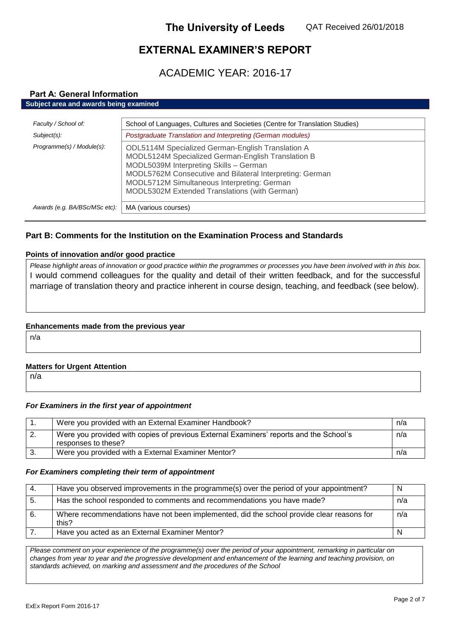# **EXTERNAL EXAMINER'S REPORT**

ACADEMIC YEAR: 2016-17

#### **Part A: General Information Subject area and awards being examined**

| Faculty / School of:          | School of Languages, Cultures and Societies (Centre for Translation Studies)                                                                                                                                                                                                                                  |
|-------------------------------|---------------------------------------------------------------------------------------------------------------------------------------------------------------------------------------------------------------------------------------------------------------------------------------------------------------|
| Subject(s):                   | Postgraduate Translation and Interpreting (German modules)                                                                                                                                                                                                                                                    |
| Programme(s) / Module(s):     | ODL5114M Specialized German-English Translation A<br>MODL5124M Specialized German-English Translation B<br>MODL5039M Interpreting Skills - German<br>MODL5762M Consecutive and Bilateral Interpreting: German<br>MODL5712M Simultaneous Interpreting: German<br>MODL5302M Extended Translations (with German) |
| Awards (e.g. BA/BSc/MSc etc): | MA (various courses)                                                                                                                                                                                                                                                                                          |

# **Part B: Comments for the Institution on the Examination Process and Standards**

## **Points of innovation and/or good practice**

*Please highlight areas of innovation or good practice within the programmes or processes you have been involved with in this box.* I would commend colleagues for the quality and detail of their written feedback, and for the successful marriage of translation theory and practice inherent in course design, teaching, and feedback (see below).

## **Enhancements made from the previous year**

n/a

## **Matters for Urgent Attention**

n/a

# *For Examiners in the first year of appointment*

|    | Were you provided with an External Examiner Handbook?                                                         | n/a |
|----|---------------------------------------------------------------------------------------------------------------|-----|
| ۷. | Were you provided with copies of previous External Examiners' reports and the School's<br>responses to these? | n/a |
|    | Were you provided with a External Examiner Mentor?                                                            | n/a |

## *For Examiners completing their term of appointment*

| -4. | Have you observed improvements in the programme(s) over the period of your appointment?            |     |
|-----|----------------------------------------------------------------------------------------------------|-----|
| -5. | Has the school responded to comments and recommendations you have made?                            | n/a |
| -6. | Where recommendations have not been implemented, did the school provide clear reasons for<br>this? | n/a |
|     | Have you acted as an External Examiner Mentor?                                                     |     |

*Please comment on your experience of the programme(s) over the period of your appointment, remarking in particular on*  changes from year to year and the progressive development and enhancement of the learning and teaching provision, on *standards achieved, on marking and assessment and the procedures of the School*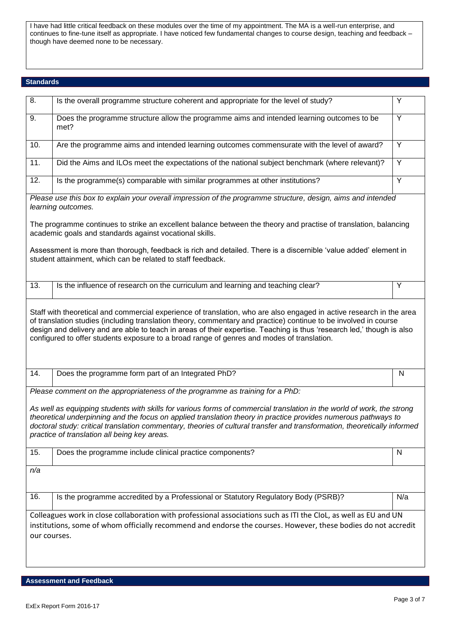I have had little critical feedback on these modules over the time of my appointment. The MA is a well-run enterprise, and continues to fine-tune itself as appropriate. I have noticed few fundamental changes to course design, teaching and feedback – though have deemed none to be necessary.

#### **Standards**

| 8.           | Is the overall programme structure coherent and appropriate for the level of study?                                                                                                                                                                                                                                                                                                                                                                                                                    | Υ              |
|--------------|--------------------------------------------------------------------------------------------------------------------------------------------------------------------------------------------------------------------------------------------------------------------------------------------------------------------------------------------------------------------------------------------------------------------------------------------------------------------------------------------------------|----------------|
| 9.           | Does the programme structure allow the programme aims and intended learning outcomes to be<br>met?                                                                                                                                                                                                                                                                                                                                                                                                     | Y              |
| 10.          | Are the programme aims and intended learning outcomes commensurate with the level of award?                                                                                                                                                                                                                                                                                                                                                                                                            | $\overline{Y}$ |
| 11.          | Did the Aims and ILOs meet the expectations of the national subject benchmark (where relevant)?                                                                                                                                                                                                                                                                                                                                                                                                        | Y              |
| 12.          | Is the programme(s) comparable with similar programmes at other institutions?                                                                                                                                                                                                                                                                                                                                                                                                                          | Y              |
|              | Please use this box to explain your overall impression of the programme structure, design, aims and intended<br>learning outcomes.                                                                                                                                                                                                                                                                                                                                                                     |                |
|              | The programme continues to strike an excellent balance between the theory and practise of translation, balancing<br>academic goals and standards against vocational skills.                                                                                                                                                                                                                                                                                                                            |                |
|              | Assessment is more than thorough, feedback is rich and detailed. There is a discernible 'value added' element in<br>student attainment, which can be related to staff feedback.                                                                                                                                                                                                                                                                                                                        |                |
| 13.          | Is the influence of research on the curriculum and learning and teaching clear?                                                                                                                                                                                                                                                                                                                                                                                                                        | Υ              |
|              | Staff with theoretical and commercial experience of translation, who are also engaged in active research in the area<br>of translation studies (including translation theory, commentary and practice) continue to be involved in course<br>design and delivery and are able to teach in areas of their expertise. Teaching is thus 'research led,' though is also<br>configured to offer students exposure to a broad range of genres and modes of translation.                                       |                |
| 14.          | Does the programme form part of an Integrated PhD?                                                                                                                                                                                                                                                                                                                                                                                                                                                     | N              |
|              | Please comment on the appropriateness of the programme as training for a PhD:<br>As well as equipping students with skills for various forms of commercial translation in the world of work, the strong<br>theoretical underpinning and the focus on applied translation theory in practice provides numerous pathways to<br>doctoral study: critical translation commentary, theories of cultural transfer and transformation, theoretically informed<br>practice of translation all being key areas. |                |
| 15.          | Does the programme include clinical practice components?                                                                                                                                                                                                                                                                                                                                                                                                                                               | $\mathsf{N}$   |
| n/a          |                                                                                                                                                                                                                                                                                                                                                                                                                                                                                                        |                |
| 16.          | Is the programme accredited by a Professional or Statutory Regulatory Body (PSRB)?                                                                                                                                                                                                                                                                                                                                                                                                                     | N/a            |
| our courses. | Colleagues work in close collaboration with professional associations such as ITI the CIoL, as well as EU and UN<br>institutions, some of whom officially recommend and endorse the courses. However, these bodies do not accredit                                                                                                                                                                                                                                                                     |                |

**Assessment and Feedback**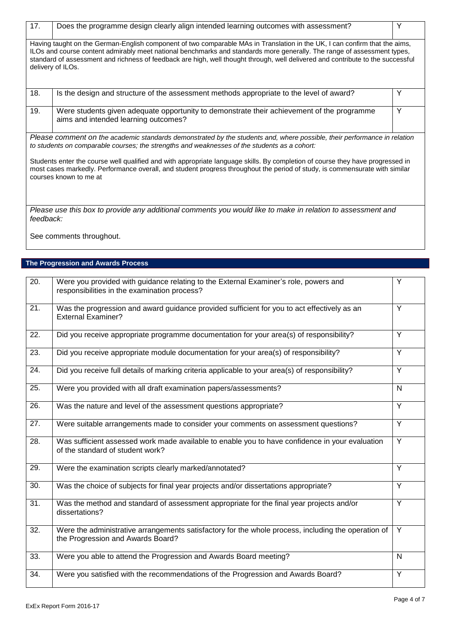| 17.       | Does the programme design clearly align intended learning outcomes with assessment?                                                                                                                                                                                                                                                                                                                           | Y |
|-----------|---------------------------------------------------------------------------------------------------------------------------------------------------------------------------------------------------------------------------------------------------------------------------------------------------------------------------------------------------------------------------------------------------------------|---|
|           | Having taught on the German-English component of two comparable MAs in Translation in the UK, I can confirm that the aims,<br>ILOs and course content admirably meet national benchmarks and standards more generally. The range of assessment types,<br>standard of assessment and richness of feedback are high, well thought through, well delivered and contribute to the successful<br>delivery of ILOs. |   |
| 18.       | Is the design and structure of the assessment methods appropriate to the level of award?                                                                                                                                                                                                                                                                                                                      | Y |
| 19.       | Were students given adequate opportunity to demonstrate their achievement of the programme<br>aims and intended learning outcomes?                                                                                                                                                                                                                                                                            | Y |
|           | Please comment on the academic standards demonstrated by the students and, where possible, their performance in relation<br>to students on comparable courses; the strengths and weaknesses of the students as a cohort:                                                                                                                                                                                      |   |
|           | Students enter the course well qualified and with appropriate language skills. By completion of course they have progressed in<br>most cases markedly. Performance overall, and student progress throughout the period of study, is commensurate with similar<br>courses known to me at                                                                                                                       |   |
| feedback: | Please use this box to provide any additional comments you would like to make in relation to assessment and                                                                                                                                                                                                                                                                                                   |   |
|           | See comments throughout.                                                                                                                                                                                                                                                                                                                                                                                      |   |

# **The Progression and Awards Process**

| $\overline{2}0.$ | Were you provided with guidance relating to the External Examiner's role, powers and                       | Y              |
|------------------|------------------------------------------------------------------------------------------------------------|----------------|
|                  | responsibilities in the examination process?                                                               |                |
| 21.              | Was the progression and award guidance provided sufficient for you to act effectively as an                | Y              |
|                  | <b>External Examiner?</b>                                                                                  |                |
| 22.              | Did you receive appropriate programme documentation for your area(s) of responsibility?                    | $\overline{Y}$ |
| 23.              | Did you receive appropriate module documentation for your area(s) of responsibility?                       | Y              |
| 24.              | Did you receive full details of marking criteria applicable to your area(s) of responsibility?             | $\overline{Y}$ |
| 25.              | Were you provided with all draft examination papers/assessments?                                           | N              |
| 26.              | Was the nature and level of the assessment questions appropriate?                                          | $\overline{Y}$ |
| 27.              | Were suitable arrangements made to consider your comments on assessment questions?                         | Y              |
| 28.              | Was sufficient assessed work made available to enable you to have confidence in your evaluation            | Y              |
|                  | of the standard of student work?                                                                           |                |
| 29.              | Were the examination scripts clearly marked/annotated?                                                     | Y              |
| 30.              | Was the choice of subjects for final year projects and/or dissertations appropriate?                       | $\overline{Y}$ |
| 31.              | Was the method and standard of assessment appropriate for the final year projects and/or<br>dissertations? | $\overline{Y}$ |
| 32.              | Were the administrative arrangements satisfactory for the whole process, including the operation of        | Y              |
|                  | the Progression and Awards Board?                                                                          |                |
| 33.              | Were you able to attend the Progression and Awards Board meeting?                                          | N              |
| 34.              | Were you satisfied with the recommendations of the Progression and Awards Board?                           | $\overline{Y}$ |
|                  |                                                                                                            |                |